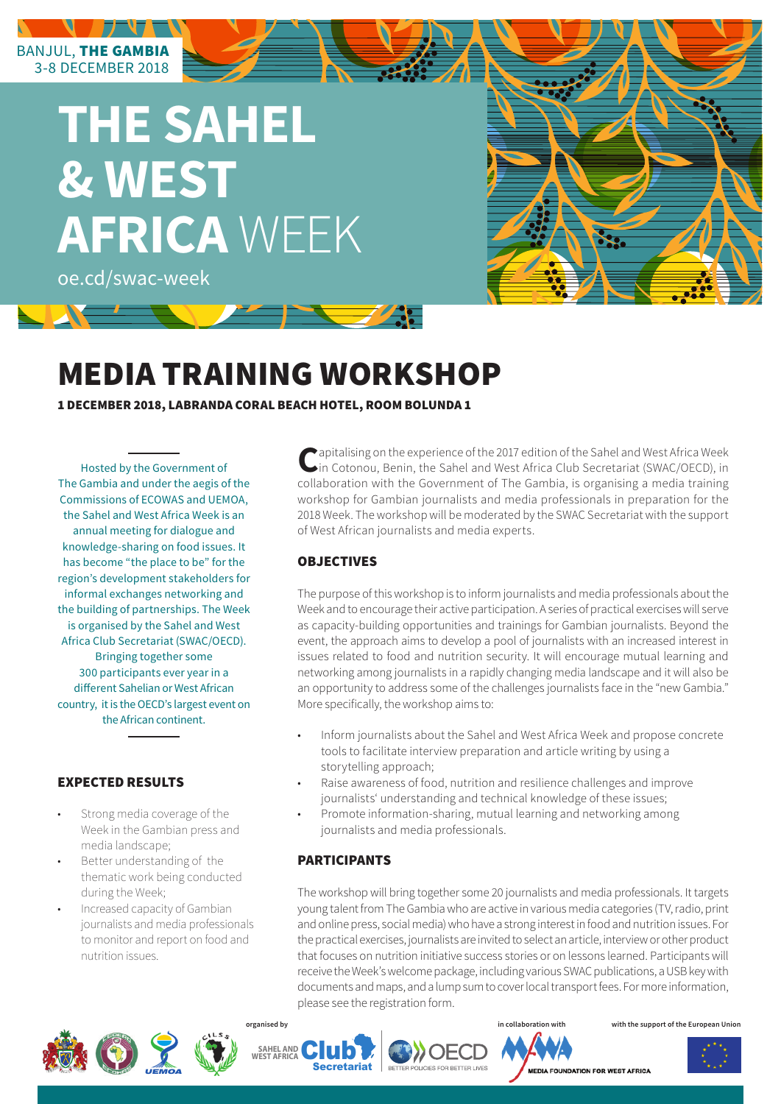# **THE SAHEL & WEST AFRICA** WEEK

oe.cd/swac-week

BANJUL, THE GAMBIA 3-8 DECEMBER 2018

# MEDIA TRAINING WORKSHOP

1 DECEMBER 2018, LABRANDA CORAL BEACH HOTEL, ROOM BOLUNDA 1

Hosted by the Government of The Gambia and under the aegis of the Commissions of ECOWAS and UEMOA, the Sahel and West Africa Week is an annual meeting for dialogue and knowledge-sharing on food issues. It has become "the place to be" for the region's development stakeholders for informal exchanges networking and the building of partnerships. The Week is organised by the Sahel and West Africa Club Secretariat (SWAC/OECD). Bringing together some 300 participants ever year in a different Sahelian or West African country, it is the OECD's largest event on the African continent.

## EXPECTED RESULTS

- Strong media coverage of the Week in the Gambian press and media landscape;
- Better understanding of the thematic work being conducted during the Week;
- Increased capacity of Gambian journalists and media professionals to monitor and report on food and nutrition issues.

**C**apitalising on the experience of the 2017 edition of the Sahel and West Africa Week in Cotonou, Benin, the Sahel and West Africa Club Secretariat (SWAC/OECD), in collaboration with the Government of The Gambia, is organising a media training workshop for Gambian journalists and media professionals in preparation for the 2018 Week. The workshop will be moderated by the SWAC Secretariat with the support of West African journalists and media experts.

### **OBJECTIVES**

The purpose of this workshop is to inform journalists and media professionals about the Week and to encourage their active participation. A series of practical exercises will serve as capacity-building opportunities and trainings for Gambian journalists. Beyond the event, the approach aims to develop a pool of journalists with an increased interest in issues related to food and nutrition security. It will encourage mutual learning and networking among journalists in a rapidly changing media landscape and it will also be an opportunity to address some of the challenges journalists face in the "new Gambia." More specifically, the workshop aims to:

- Inform journalists about the Sahel and West Africa Week and propose concrete tools to facilitate interview preparation and article writing by using a storytelling approach;
- Raise awareness of food, nutrition and resilience challenges and improve journalists' understanding and technical knowledge of these issues;
- Promote information-sharing, mutual learning and networking among journalists and media professionals.

### PARTICIPANTS

The workshop will bring together some 20 journalists and media professionals. It targets young talent from The Gambia who are active in various media categories (TV, radio, print and online press, social media) who have a strong interest in food and nutrition issues. For the practical exercises, journalists are invited to select an article, interview or other product that focuses on nutrition initiative success stories or on lessons learned. Participants will receive the Week's welcome package, including various SWAC publications, a USB key with documents and maps, and a lump sum to cover local transport fees. For more information, please see the registration form.



WEST AFRICA **CLUD** 

**Secretariat** 



**in collaboration with** 

**organised by with the support of the European Union**